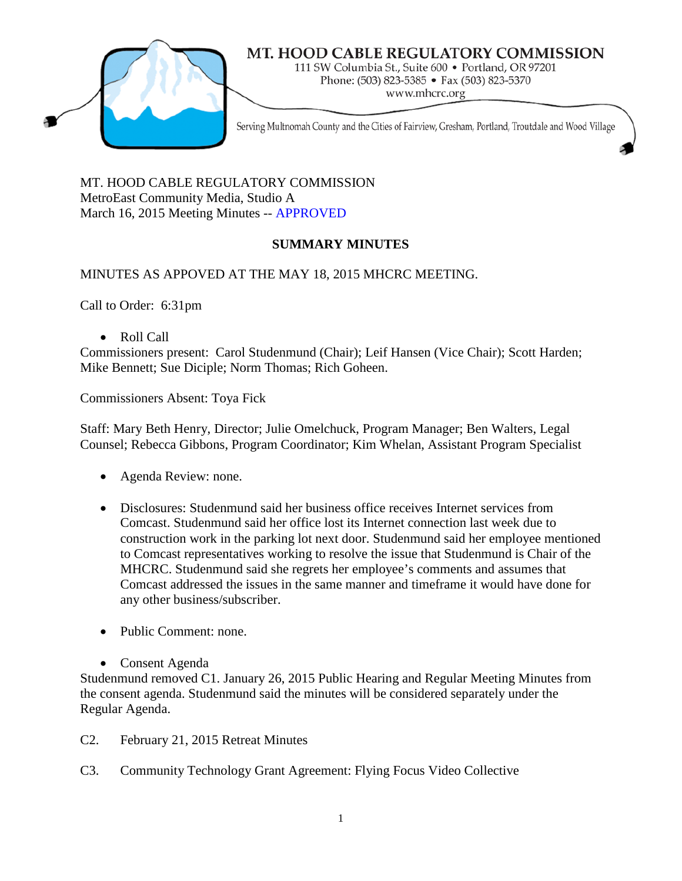

# MT. HOOD CABLE REGULATORY COMMISSION

111 SW Columbia St., Suite 600 · Portland, OR 97201 Phone: (503) 823-5385 • Fax (503) 823-5370 www.mhcrc.org

Serving Multnomah County and the Cities of Fairview, Gresham, Portland, Troutdale and Wood Village

MT. HOOD CABLE REGULATORY COMMISSION MetroEast Community Media, Studio A March 16, 2015 Meeting Minutes -- APPROVED

# **SUMMARY MINUTES**

MINUTES AS APPOVED AT THE MAY 18, 2015 MHCRC MEETING.

Call to Order: 6:31pm

• Roll Call

Commissioners present: Carol Studenmund (Chair); Leif Hansen (Vice Chair); Scott Harden; Mike Bennett; Sue Diciple; Norm Thomas; Rich Goheen.

Commissioners Absent: Toya Fick

Staff: Mary Beth Henry, Director; Julie Omelchuck, Program Manager; Ben Walters, Legal Counsel; Rebecca Gibbons, Program Coordinator; Kim Whelan, Assistant Program Specialist

- Agenda Review: none.
- Disclosures: Studenmund said her business office receives Internet services from Comcast. Studenmund said her office lost its Internet connection last week due to construction work in the parking lot next door. Studenmund said her employee mentioned to Comcast representatives working to resolve the issue that Studenmund is Chair of the MHCRC. Studenmund said she regrets her employee's comments and assumes that Comcast addressed the issues in the same manner and timeframe it would have done for any other business/subscriber.
- Public Comment: none.
- Consent Agenda

Studenmund removed C1. January 26, 2015 Public Hearing and Regular Meeting Minutes from the consent agenda. Studenmund said the minutes will be considered separately under the Regular Agenda.

- C2. February 21, 2015 Retreat Minutes
- C3. Community Technology Grant Agreement: Flying Focus Video Collective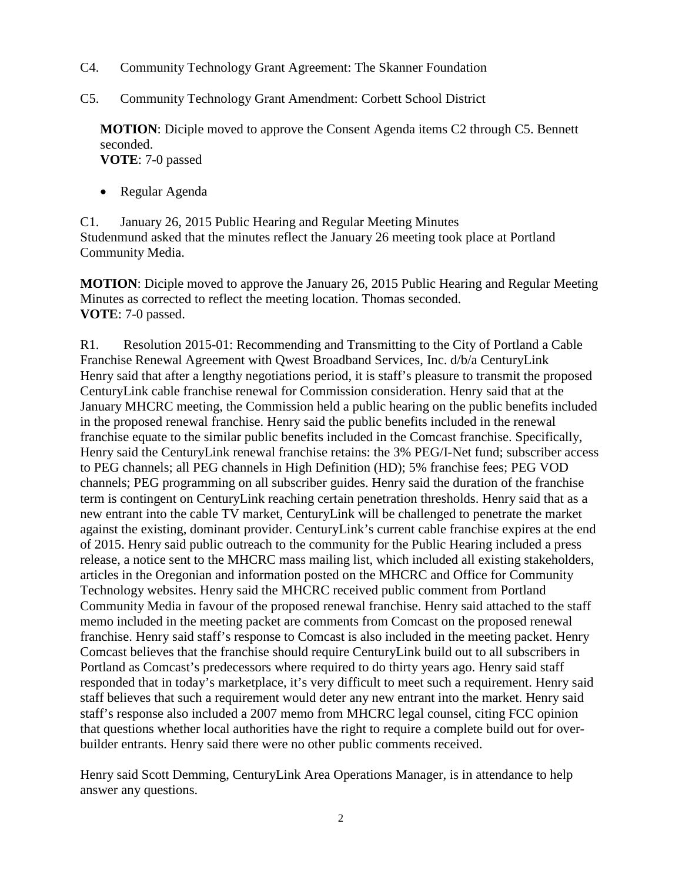- C4. Community Technology Grant Agreement: The Skanner Foundation
- C5. Community Technology Grant Amendment: Corbett School District

**MOTION**: Diciple moved to approve the Consent Agenda items C2 through C5. Bennett seconded. **VOTE**: 7-0 passed

• Regular Agenda

C1. January 26, 2015 Public Hearing and Regular Meeting Minutes Studenmund asked that the minutes reflect the January 26 meeting took place at Portland Community Media.

**MOTION**: Diciple moved to approve the January 26, 2015 Public Hearing and Regular Meeting Minutes as corrected to reflect the meeting location. Thomas seconded. **VOTE**: 7-0 passed.

R1. Resolution 2015-01: Recommending and Transmitting to the City of Portland a Cable Franchise Renewal Agreement with Qwest Broadband Services, Inc. d/b/a CenturyLink Henry said that after a lengthy negotiations period, it is staff's pleasure to transmit the proposed CenturyLink cable franchise renewal for Commission consideration. Henry said that at the January MHCRC meeting, the Commission held a public hearing on the public benefits included in the proposed renewal franchise. Henry said the public benefits included in the renewal franchise equate to the similar public benefits included in the Comcast franchise. Specifically, Henry said the CenturyLink renewal franchise retains: the 3% PEG/I-Net fund; subscriber access to PEG channels; all PEG channels in High Definition (HD); 5% franchise fees; PEG VOD channels; PEG programming on all subscriber guides. Henry said the duration of the franchise term is contingent on CenturyLink reaching certain penetration thresholds. Henry said that as a new entrant into the cable TV market, CenturyLink will be challenged to penetrate the market against the existing, dominant provider. CenturyLink's current cable franchise expires at the end of 2015. Henry said public outreach to the community for the Public Hearing included a press release, a notice sent to the MHCRC mass mailing list, which included all existing stakeholders, articles in the Oregonian and information posted on the MHCRC and Office for Community Technology websites. Henry said the MHCRC received public comment from Portland Community Media in favour of the proposed renewal franchise. Henry said attached to the staff memo included in the meeting packet are comments from Comcast on the proposed renewal franchise. Henry said staff's response to Comcast is also included in the meeting packet. Henry Comcast believes that the franchise should require CenturyLink build out to all subscribers in Portland as Comcast's predecessors where required to do thirty years ago. Henry said staff responded that in today's marketplace, it's very difficult to meet such a requirement. Henry said staff believes that such a requirement would deter any new entrant into the market. Henry said staff's response also included a 2007 memo from MHCRC legal counsel, citing FCC opinion that questions whether local authorities have the right to require a complete build out for overbuilder entrants. Henry said there were no other public comments received.

Henry said Scott Demming, CenturyLink Area Operations Manager, is in attendance to help answer any questions.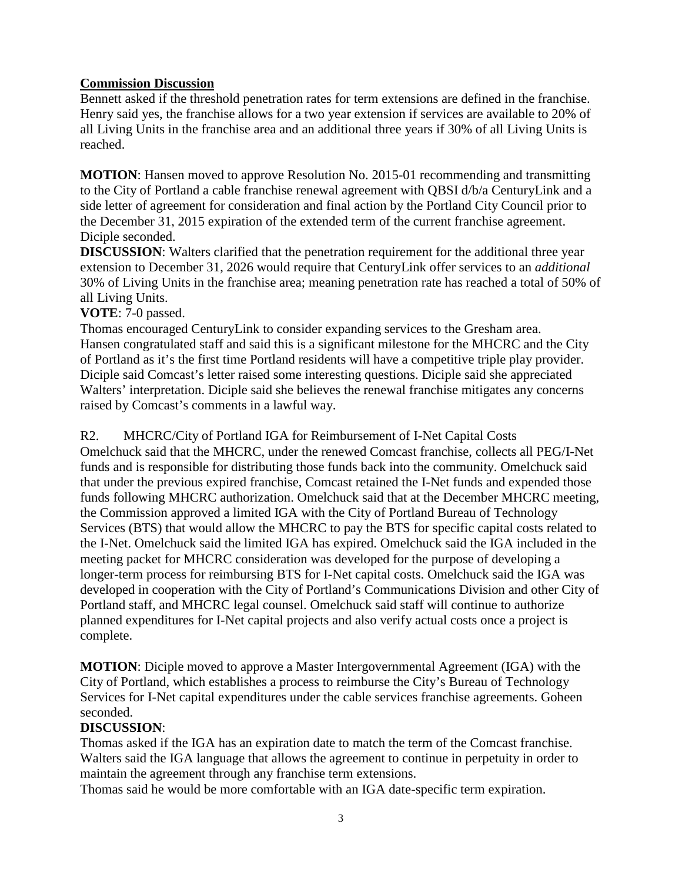#### **Commission Discussion**

Bennett asked if the threshold penetration rates for term extensions are defined in the franchise. Henry said yes, the franchise allows for a two year extension if services are available to 20% of all Living Units in the franchise area and an additional three years if 30% of all Living Units is reached.

**MOTION**: Hansen moved to approve Resolution No. 2015-01 recommending and transmitting to the City of Portland a cable franchise renewal agreement with QBSI d/b/a CenturyLink and a side letter of agreement for consideration and final action by the Portland City Council prior to the December 31, 2015 expiration of the extended term of the current franchise agreement. Diciple seconded.

**DISCUSSION:** Walters clarified that the penetration requirement for the additional three year extension to December 31, 2026 would require that CenturyLink offer services to an *additional* 30% of Living Units in the franchise area; meaning penetration rate has reached a total of 50% of all Living Units.

#### **VOTE**: 7-0 passed.

Thomas encouraged CenturyLink to consider expanding services to the Gresham area. Hansen congratulated staff and said this is a significant milestone for the MHCRC and the City of Portland as it's the first time Portland residents will have a competitive triple play provider. Diciple said Comcast's letter raised some interesting questions. Diciple said she appreciated Walters' interpretation. Diciple said she believes the renewal franchise mitigates any concerns raised by Comcast's comments in a lawful way.

R2. MHCRC/City of Portland IGA for Reimbursement of I-Net Capital Costs Omelchuck said that the MHCRC, under the renewed Comcast franchise, collects all PEG/I-Net funds and is responsible for distributing those funds back into the community. Omelchuck said that under the previous expired franchise, Comcast retained the I-Net funds and expended those funds following MHCRC authorization. Omelchuck said that at the December MHCRC meeting, the Commission approved a limited IGA with the City of Portland Bureau of Technology Services (BTS) that would allow the MHCRC to pay the BTS for specific capital costs related to the I-Net. Omelchuck said the limited IGA has expired. Omelchuck said the IGA included in the meeting packet for MHCRC consideration was developed for the purpose of developing a longer-term process for reimbursing BTS for I-Net capital costs. Omelchuck said the IGA was developed in cooperation with the City of Portland's Communications Division and other City of Portland staff, and MHCRC legal counsel. Omelchuck said staff will continue to authorize planned expenditures for I-Net capital projects and also verify actual costs once a project is complete.

**MOTION**: Diciple moved to approve a Master Intergovernmental Agreement (IGA) with the City of Portland, which establishes a process to reimburse the City's Bureau of Technology Services for I-Net capital expenditures under the cable services franchise agreements. Goheen seconded.

#### **DISCUSSION**:

Thomas asked if the IGA has an expiration date to match the term of the Comcast franchise. Walters said the IGA language that allows the agreement to continue in perpetuity in order to maintain the agreement through any franchise term extensions.

Thomas said he would be more comfortable with an IGA date-specific term expiration.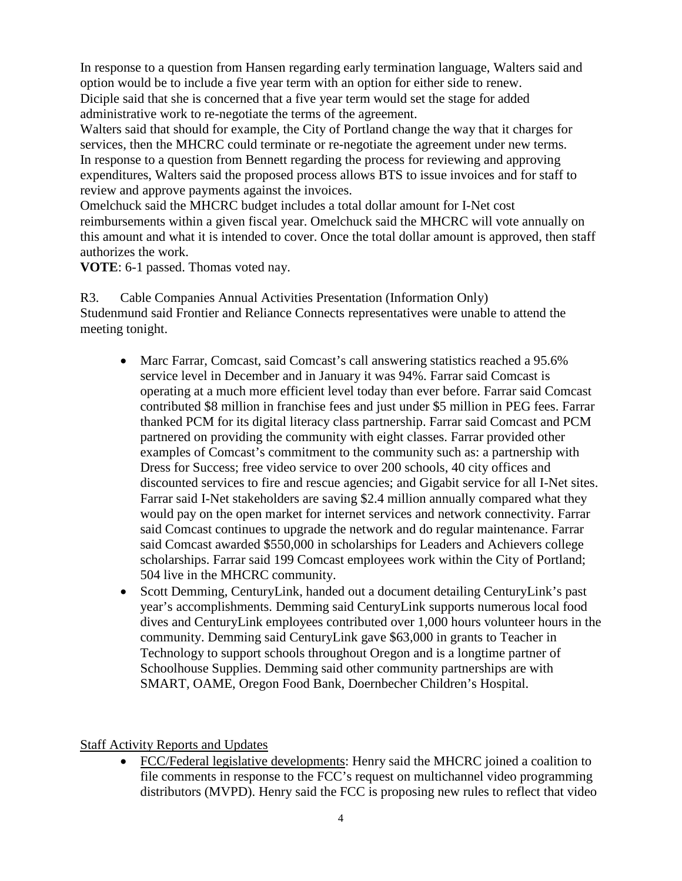In response to a question from Hansen regarding early termination language, Walters said and option would be to include a five year term with an option for either side to renew. Diciple said that she is concerned that a five year term would set the stage for added administrative work to re-negotiate the terms of the agreement.

Walters said that should for example, the City of Portland change the way that it charges for services, then the MHCRC could terminate or re-negotiate the agreement under new terms. In response to a question from Bennett regarding the process for reviewing and approving expenditures, Walters said the proposed process allows BTS to issue invoices and for staff to review and approve payments against the invoices.

Omelchuck said the MHCRC budget includes a total dollar amount for I-Net cost reimbursements within a given fiscal year. Omelchuck said the MHCRC will vote annually on this amount and what it is intended to cover. Once the total dollar amount is approved, then staff authorizes the work.

**VOTE**: 6-1 passed. Thomas voted nay.

R3. Cable Companies Annual Activities Presentation (Information Only) Studenmund said Frontier and Reliance Connects representatives were unable to attend the meeting tonight.

- Marc Farrar, Comcast, said Comcast's call answering statistics reached a 95.6% service level in December and in January it was 94%. Farrar said Comcast is operating at a much more efficient level today than ever before. Farrar said Comcast contributed \$8 million in franchise fees and just under \$5 million in PEG fees. Farrar thanked PCM for its digital literacy class partnership. Farrar said Comcast and PCM partnered on providing the community with eight classes. Farrar provided other examples of Comcast's commitment to the community such as: a partnership with Dress for Success; free video service to over 200 schools, 40 city offices and discounted services to fire and rescue agencies; and Gigabit service for all I-Net sites. Farrar said I-Net stakeholders are saving \$2.4 million annually compared what they would pay on the open market for internet services and network connectivity. Farrar said Comcast continues to upgrade the network and do regular maintenance. Farrar said Comcast awarded \$550,000 in scholarships for Leaders and Achievers college scholarships. Farrar said 199 Comcast employees work within the City of Portland; 504 live in the MHCRC community.
- Scott Demming, CenturyLink, handed out a document detailing CenturyLink's past year's accomplishments. Demming said CenturyLink supports numerous local food dives and CenturyLink employees contributed over 1,000 hours volunteer hours in the community. Demming said CenturyLink gave \$63,000 in grants to Teacher in Technology to support schools throughout Oregon and is a longtime partner of Schoolhouse Supplies. Demming said other community partnerships are with SMART, OAME, Oregon Food Bank, Doernbecher Children's Hospital.

# Staff Activity Reports and Updates

• FCC/Federal legislative developments: Henry said the MHCRC joined a coalition to file comments in response to the FCC's request on multichannel video programming distributors (MVPD). Henry said the FCC is proposing new rules to reflect that video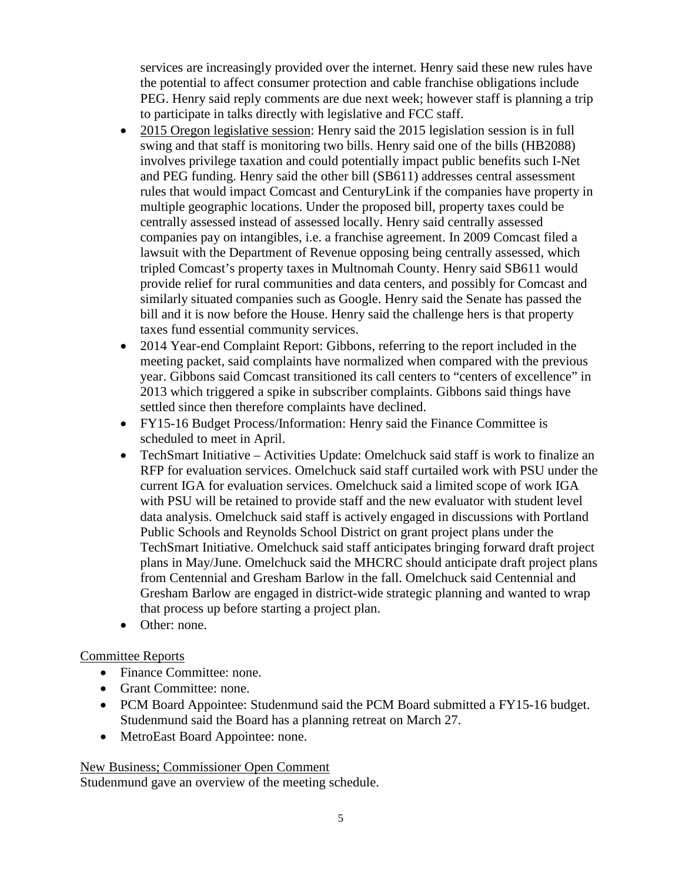services are increasingly provided over the internet. Henry said these new rules have the potential to affect consumer protection and cable franchise obligations include PEG. Henry said reply comments are due next week; however staff is planning a trip to participate in talks directly with legislative and FCC staff.

- 2015 Oregon legislative session: Henry said the 2015 legislation session is in full swing and that staff is monitoring two bills. Henry said one of the bills (HB2088) involves privilege taxation and could potentially impact public benefits such I-Net and PEG funding. Henry said the other bill (SB611) addresses central assessment rules that would impact Comcast and CenturyLink if the companies have property in multiple geographic locations. Under the proposed bill, property taxes could be centrally assessed instead of assessed locally. Henry said centrally assessed companies pay on intangibles, i.e. a franchise agreement. In 2009 Comcast filed a lawsuit with the Department of Revenue opposing being centrally assessed, which tripled Comcast's property taxes in Multnomah County. Henry said SB611 would provide relief for rural communities and data centers, and possibly for Comcast and similarly situated companies such as Google. Henry said the Senate has passed the bill and it is now before the House. Henry said the challenge hers is that property taxes fund essential community services.
- 2014 Year-end Complaint Report: Gibbons, referring to the report included in the meeting packet, said complaints have normalized when compared with the previous year. Gibbons said Comcast transitioned its call centers to "centers of excellence" in 2013 which triggered a spike in subscriber complaints. Gibbons said things have settled since then therefore complaints have declined.
- FY15-16 Budget Process/Information: Henry said the Finance Committee is scheduled to meet in April.
- TechSmart Initiative Activities Update: Omelchuck said staff is work to finalize an RFP for evaluation services. Omelchuck said staff curtailed work with PSU under the current IGA for evaluation services. Omelchuck said a limited scope of work IGA with PSU will be retained to provide staff and the new evaluator with student level data analysis. Omelchuck said staff is actively engaged in discussions with Portland Public Schools and Reynolds School District on grant project plans under the TechSmart Initiative. Omelchuck said staff anticipates bringing forward draft project plans in May/June. Omelchuck said the MHCRC should anticipate draft project plans from Centennial and Gresham Barlow in the fall. Omelchuck said Centennial and Gresham Barlow are engaged in district-wide strategic planning and wanted to wrap that process up before starting a project plan.
- Other: none.

# Committee Reports

- Finance Committee: none.
- Grant Committee: none.
- PCM Board Appointee: Studenmund said the PCM Board submitted a FY15-16 budget. Studenmund said the Board has a planning retreat on March 27.
- MetroEast Board Appointee: none.

# New Business; Commissioner Open Comment

Studenmund gave an overview of the meeting schedule.